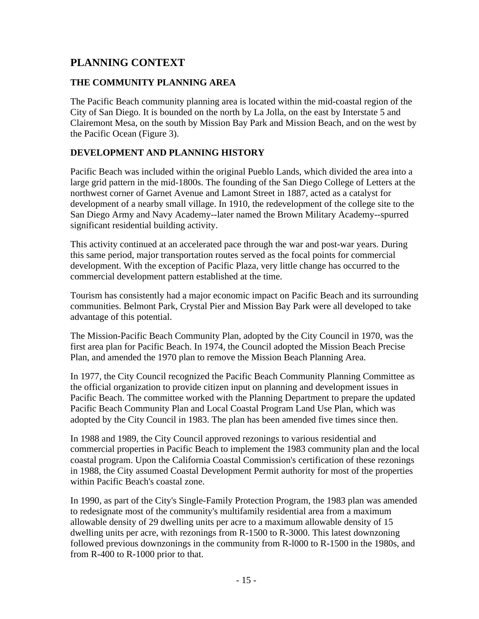# **PLANNING CONTEXT**

# **THE COMMUNITY PLANNING AREA**

The Pacific Beach community planning area is located within the mid-coastal region of the City of San Diego. It is bounded on the north by La Jolla, on the east by Interstate 5 and Clairemont Mesa, on the south by Mission Bay Park and Mission Beach, and on the west by the Pacific Ocean (Figure 3).

# **DEVELOPMENT AND PLANNING HISTORY**

Pacific Beach was included within the original Pueblo Lands, which divided the area into a large grid pattern in the mid-1800s. The founding of the San Diego College of Letters at the northwest corner of Garnet Avenue and Lamont Street in 1887, acted as a catalyst for development of a nearby small village. In 1910, the redevelopment of the college site to the San Diego Army and Navy Academy--later named the Brown Military Academy--spurred significant residential building activity.

This activity continued at an accelerated pace through the war and post-war years. During this same period, major transportation routes served as the focal points for commercial development. With the exception of Pacific Plaza, very little change has occurred to the commercial development pattern established at the time.

Tourism has consistently had a major economic impact on Pacific Beach and its surrounding communities. Belmont Park, Crystal Pier and Mission Bay Park were all developed to take advantage of this potential.

The Mission-Pacific Beach Community Plan, adopted by the City Council in 1970, was the first area plan for Pacific Beach. In 1974, the Council adopted the Mission Beach Precise Plan, and amended the 1970 plan to remove the Mission Beach Planning Area.

In 1977, the City Council recognized the Pacific Beach Community Planning Committee as the official organization to provide citizen input on planning and development issues in Pacific Beach. The committee worked with the Planning Department to prepare the updated Pacific Beach Community Plan and Local Coastal Program Land Use Plan, which was adopted by the City Council in 1983. The plan has been amended five times since then.

In 1988 and 1989, the City Council approved rezonings to various residential and commercial properties in Pacific Beach to implement the 1983 community plan and the local coastal program. Upon the California Coastal Commission's certification of these rezonings in 1988, the City assumed Coastal Development Permit authority for most of the properties within Pacific Beach's coastal zone.

In 1990, as part of the City's Single-Family Protection Program, the 1983 plan was amended to redesignate most of the community's multifamily residential area from a maximum allowable density of 29 dwelling units per acre to a maximum allowable density of 15 dwelling units per acre, with rezonings from R-1500 to R-3000. This latest downzoning followed previous downzonings in the community from R-l000 to R-1500 in the 1980s, and from R-400 to R-1000 prior to that.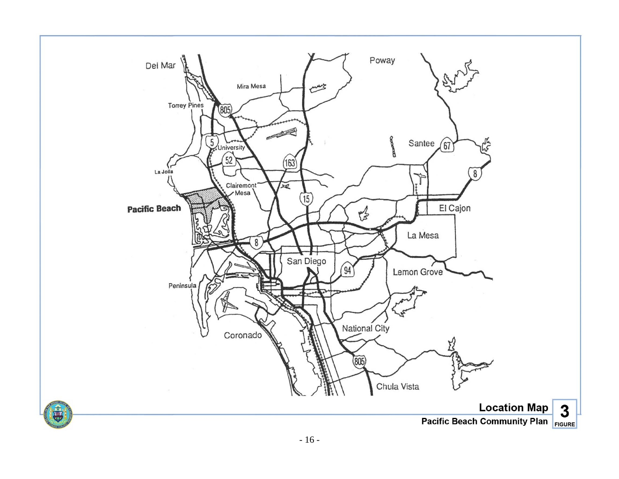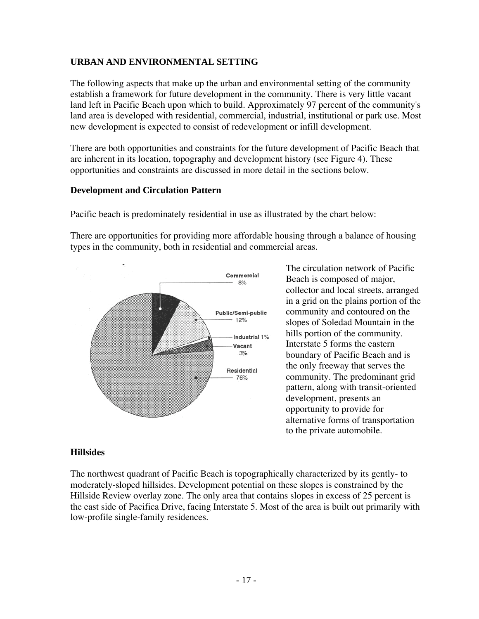## **URBAN AND ENVIRONMENTAL SETTING**

The following aspects that make up the urban and environmental setting of the community establish a framework for future development in the community. There is very little vacant land left in Pacific Beach upon which to build. Approximately 97 percent of the community's land area is developed with residential, commercial, industrial, institutional or park use. Most new development is expected to consist of redevelopment or infill development.

There are both opportunities and constraints for the future development of Pacific Beach that are inherent in its location, topography and development history (see Figure 4). These opportunities and constraints are discussed in more detail in the sections below.

#### **Development and Circulation Pattern**

Pacific beach is predominately residential in use as illustrated by the chart below:

There are opportunities for providing more affordable housing through a balance of housing types in the community, both in residential and commercial areas.



The circulation network of Pacific Beach is composed of major, collector and local streets, arranged in a grid on the plains portion of the community and contoured on the slopes of Soledad Mountain in the hills portion of the community. Interstate 5 forms the eastern boundary of Pacific Beach and is the only freeway that serves the community. The predominant grid pattern, along with transit-oriented development, presents an opportunity to provide for alternative forms of transportation to the private automobile.

### **Hillsides**

The northwest quadrant of Pacific Beach is topographically characterized by its gently- to moderately-sloped hillsides. Development potential on these slopes is constrained by the Hillside Review overlay zone. The only area that contains slopes in excess of 25 percent is the east side of Pacifica Drive, facing Interstate 5. Most of the area is built out primarily with low-profile single-family residences.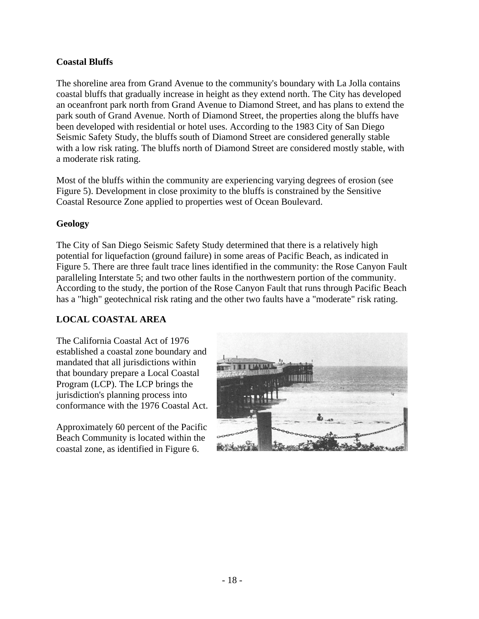# **Coastal Bluffs**

The shoreline area from Grand Avenue to the community's boundary with La Jolla contains coastal bluffs that gradually increase in height as they extend north. The City has developed an oceanfront park north from Grand Avenue to Diamond Street, and has plans to extend the park south of Grand Avenue. North of Diamond Street, the properties along the bluffs have been developed with residential or hotel uses. According to the 1983 City of San Diego Seismic Safety Study, the bluffs south of Diamond Street are considered generally stable with a low risk rating. The bluffs north of Diamond Street are considered mostly stable, with a moderate risk rating.

Most of the bluffs within the community are experiencing varying degrees of erosion (see Figure 5). Development in close proximity to the bluffs is constrained by the Sensitive Coastal Resource Zone applied to properties west of Ocean Boulevard.

### **Geology**

The City of San Diego Seismic Safety Study determined that there is a relatively high potential for liquefaction (ground failure) in some areas of Pacific Beach, as indicated in Figure 5. There are three fault trace lines identified in the community: the Rose Canyon Fault paralleling Interstate 5; and two other faults in the northwestern portion of the community. According to the study, the portion of the Rose Canyon Fault that runs through Pacific Beach has a "high" geotechnical risk rating and the other two faults have a "moderate" risk rating.

### **LOCAL COASTAL AREA**

The California Coastal Act of 1976 established a coastal zone boundary and mandated that all jurisdictions within that boundary prepare a Local Coastal Program (LCP). The LCP brings the jurisdiction's planning process into conformance with the 1976 Coastal Act.

Approximately 60 percent of the Pacific Beach Community is located within the coastal zone, as identified in Figure 6.

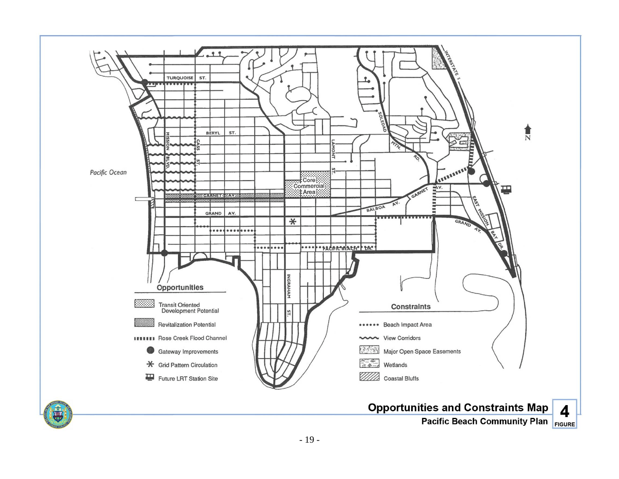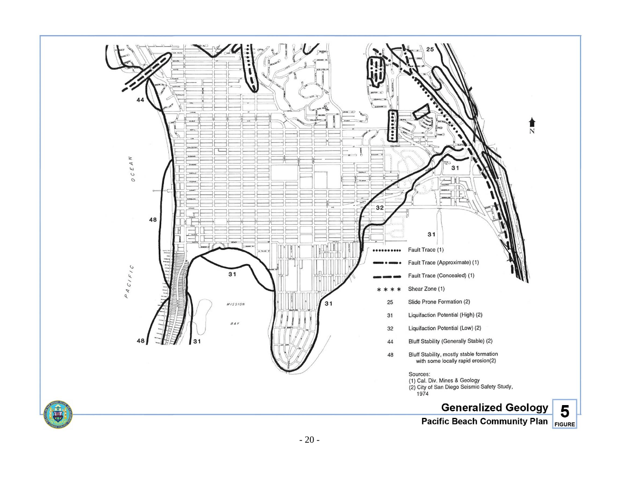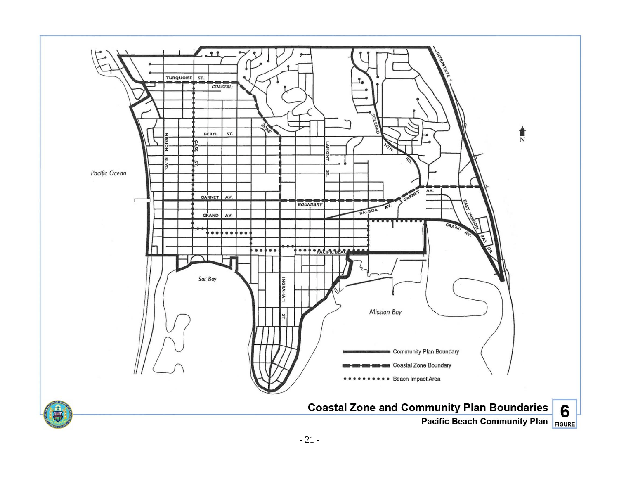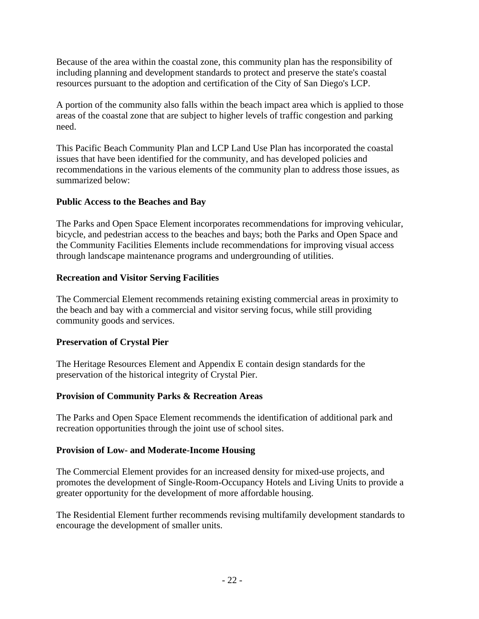Because of the area within the coastal zone, this community plan has the responsibility of including planning and development standards to protect and preserve the state's coastal resources pursuant to the adoption and certification of the City of San Diego's LCP.

A portion of the community also falls within the beach impact area which is applied to those areas of the coastal zone that are subject to higher levels of traffic congestion and parking need.

This Pacific Beach Community Plan and LCP Land Use Plan has incorporated the coastal issues that have been identified for the community, and has developed policies and recommendations in the various elements of the community plan to address those issues, as summarized below:

### **Public Access to the Beaches and Bay**

The Parks and Open Space Element incorporates recommendations for improving vehicular, bicycle, and pedestrian access to the beaches and bays; both the Parks and Open Space and the Community Facilities Elements include recommendations for improving visual access through landscape maintenance programs and undergrounding of utilities.

# **Recreation and Visitor Serving Facilities**

The Commercial Element recommends retaining existing commercial areas in proximity to the beach and bay with a commercial and visitor serving focus, while still providing community goods and services.

# **Preservation of Crystal Pier**

The Heritage Resources Element and Appendix E contain design standards for the preservation of the historical integrity of Crystal Pier.

# **Provision of Community Parks & Recreation Areas**

The Parks and Open Space Element recommends the identification of additional park and recreation opportunities through the joint use of school sites.

# **Provision of Low- and Moderate-Income Housing**

The Commercial Element provides for an increased density for mixed-use projects, and promotes the development of Single-Room-Occupancy Hotels and Living Units to provide a greater opportunity for the development of more affordable housing.

The Residential Element further recommends revising multifamily development standards to encourage the development of smaller units.